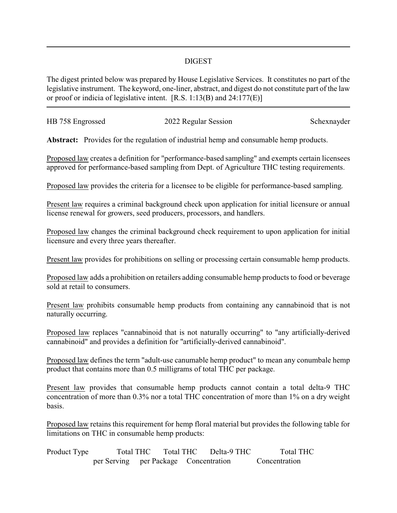## DIGEST

The digest printed below was prepared by House Legislative Services. It constitutes no part of the legislative instrument. The keyword, one-liner, abstract, and digest do not constitute part of the law or proof or indicia of legislative intent. [R.S. 1:13(B) and 24:177(E)]

| HB 758 Engrossed | 2022 Regular Session | Schexnayder |
|------------------|----------------------|-------------|
|                  |                      |             |

**Abstract:** Provides for the regulation of industrial hemp and consumable hemp products.

Proposed law creates a definition for "performance-based sampling" and exempts certain licensees approved for performance-based sampling from Dept. of Agriculture THC testing requirements.

Proposed law provides the criteria for a licensee to be eligible for performance-based sampling.

Present law requires a criminal background check upon application for initial licensure or annual license renewal for growers, seed producers, processors, and handlers.

Proposed law changes the criminal background check requirement to upon application for initial licensure and every three years thereafter.

Present law provides for prohibitions on selling or processing certain consumable hemp products.

Proposed law adds a prohibition on retailers adding consumable hemp products to food or beverage sold at retail to consumers.

Present law prohibits consumable hemp products from containing any cannabinoid that is not naturally occurring.

Proposed law replaces "cannabinoid that is not naturally occurring" to "any artificially-derived cannabinoid" and provides a definition for "artificially-derived cannabinoid".

Proposed law defines the term "adult-use canumable hemp product" to mean any conumbale hemp product that contains more than 0.5 milligrams of total THC per package.

Present law provides that consumable hemp products cannot contain a total delta-9 THC concentration of more than 0.3% nor a total THC concentration of more than 1% on a dry weight basis.

Proposed law retains this requirement for hemp floral material but provides the following table for limitations on THC in consumable hemp products:

| Product Type | Total THC                             |  | Total THC | Delta-9 THC | <b>Total THC</b> |
|--------------|---------------------------------------|--|-----------|-------------|------------------|
|              | per Serving per Package Concentration |  |           |             | Concentration    |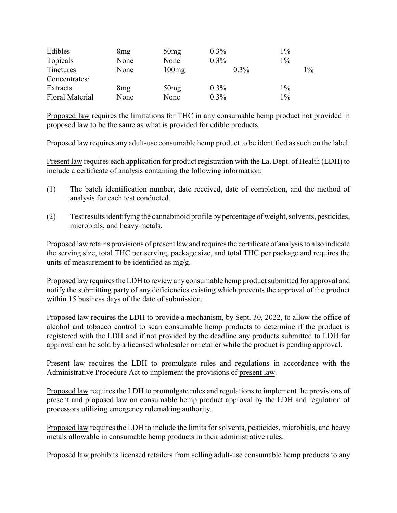| Edibles                | 8mg  | 50mg  | $0.3\%$ | $1\%$ |
|------------------------|------|-------|---------|-------|
| Topicals               | None | None  | $0.3\%$ | $1\%$ |
| Tinctures              | None | 100mg | $0.3\%$ | $1\%$ |
| Concentrates/          |      |       |         |       |
| Extracts               | 8mg  | 50mg  | $0.3\%$ | $1\%$ |
| <b>Floral Material</b> | None | None  | $0.3\%$ | $1\%$ |

Proposed law requires the limitations for THC in any consumable hemp product not provided in proposed law to be the same as what is provided for edible products.

Proposed law requires any adult-use consumable hemp product to be identified as such on the label.

Present law requires each application for product registration with the La. Dept. of Health (LDH) to include a certificate of analysis containing the following information:

- (1) The batch identification number, date received, date of completion, and the method of analysis for each test conducted.
- (2) Test results identifying the cannabinoid profile by percentage of weight, solvents, pesticides, microbials, and heavy metals.

Proposed law retains provisions of present law and requires the certificate of analysis to also indicate the serving size, total THC per serving, package size, and total THC per package and requires the units of measurement to be identified as mg/g.

Proposed law requires the LDH to review any consumable hemp product submitted for approval and notify the submitting party of any deficiencies existing which prevents the approval of the product within 15 business days of the date of submission.

Proposed law requires the LDH to provide a mechanism, by Sept. 30, 2022, to allow the office of alcohol and tobacco control to scan consumable hemp products to determine if the product is registered with the LDH and if not provided by the deadline any products submitted to LDH for approval can be sold by a licensed wholesaler or retailer while the product is pending approval.

Present law requires the LDH to promulgate rules and regulations in accordance with the Administrative Procedure Act to implement the provisions of present law.

Proposed law requires the LDH to promulgate rules and regulations to implement the provisions of present and proposed law on consumable hemp product approval by the LDH and regulation of processors utilizing emergency rulemaking authority.

Proposed law requires the LDH to include the limits for solvents, pesticides, microbials, and heavy metals allowable in consumable hemp products in their administrative rules.

Proposed law prohibits licensed retailers from selling adult-use consumable hemp products to any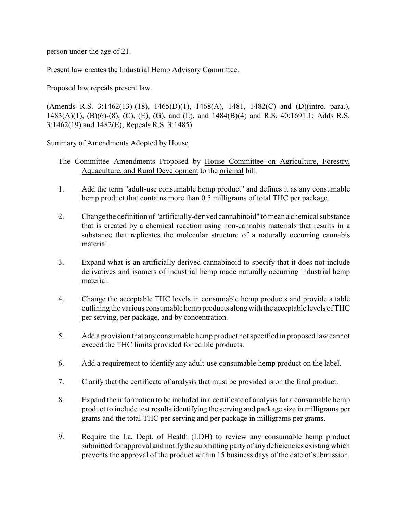person under the age of 21.

Present law creates the Industrial Hemp Advisory Committee.

Proposed law repeals present law.

(Amends R.S. 3:1462(13)-(18), 1465(D)(1), 1468(A), 1481, 1482(C) and (D)(intro. para.), 1483(A)(1), (B)(6)-(8), (C), (E), (G), and (L), and 1484(B)(4) and R.S. 40:1691.1; Adds R.S. 3:1462(19) and 1482(E); Repeals R.S. 3:1485)

## Summary of Amendments Adopted by House

- The Committee Amendments Proposed by House Committee on Agriculture, Forestry, Aquaculture, and Rural Development to the original bill:
- 1. Add the term "adult-use consumable hemp product" and defines it as any consumable hemp product that contains more than 0.5 milligrams of total THC per package.
- 2. Change the definition of "artificially-derived cannabinoid" to mean a chemical substance that is created by a chemical reaction using non-cannabis materials that results in a substance that replicates the molecular structure of a naturally occurring cannabis material.
- 3. Expand what is an artificially-derived cannabinoid to specify that it does not include derivatives and isomers of industrial hemp made naturally occurring industrial hemp material.
- 4. Change the acceptable THC levels in consumable hemp products and provide a table outlining the various consumable hemp products alongwith the acceptable levels of THC per serving, per package, and by concentration.
- 5. Add a provision that any consumable hemp product not specified in proposed law cannot exceed the THC limits provided for edible products.
- 6. Add a requirement to identify any adult-use consumable hemp product on the label.
- 7. Clarify that the certificate of analysis that must be provided is on the final product.
- 8. Expand the information to be included in a certificate of analysis for a consumable hemp product to include test results identifying the serving and package size in milligrams per grams and the total THC per serving and per package in milligrams per grams.
- 9. Require the La. Dept. of Health (LDH) to review any consumable hemp product submitted for approval and notify the submitting partyof any deficiencies existing which prevents the approval of the product within 15 business days of the date of submission.